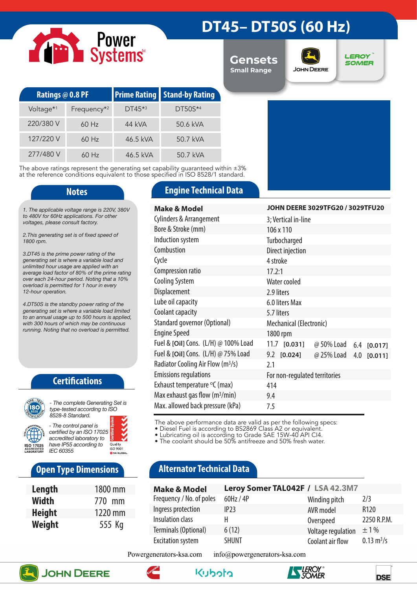# Power<br>Systems

## **DT45– DT50S (60 Hz)**

**Gensets Small Range**



**LEROY SOMER** 

| Ratings @ 0.8 PF      |                         |          | <b>Prime Rating   Stand-by Rating</b> |
|-----------------------|-------------------------|----------|---------------------------------------|
| Voltage <sup>*1</sup> | Frequency <sup>*2</sup> | $DT45*3$ | $DT50S^{*4}$                          |
| 220/380 V             | $60$ Hz                 | 44 kVA   | 50.6 kVA                              |
| 127/220 V             | $60$ Hz                 | 46.5 kVA | 50.7 kVA                              |
| 277/480 V             | $60$ Hz                 | 46.5 kVA | 50.7 kVA                              |

The above ratings represent the generating set capability guaranteed within ±3% at the reference conditions equivalent to those specified in ISO 8528/1 standard.

*1. The applicable voltage range is 220V, 380V to 480V for 60Hz applications. For other voltages, please consult factory.* 

*2.This generating set is of fixed speed of 1800 rpm.*

*3.DT45 is the prime power rating of the generating set is where a variable load and unlimited hour usage are applied with an average load factor of 80% of the prime rating over each 24-hour period. Noting that a 10% overload is permitted for 1 hour in every 12-hour operation.*

*4.DT50S is the standby power rating of the generating set is where a variable load limited to an annual usage up to 500 hours is applied, with 300 hours of which may be continuous running. Noting that no overload is permitted.*

### **Certifications**



*type-tested according to ISO 8528-8 Standard. - The control panel is* 

*certified by an ISO 17025 accredited laboratory to have IP55 according to*  Quality<br>ISO 9001 *IEC 60355*

### **Open Type Dimensions**

| Length        | 1800 mm |
|---------------|---------|
| <b>Width</b>  | 770 mm  |
| <b>Height</b> | 1220 mm |
| Weight        | 555 Kg  |

### **Notes Engine Technical Data**

| <b>Make &amp; Model</b>                       | JOHN DEERE 3029TFG20 / 3029TFU20           |  |  |  |
|-----------------------------------------------|--------------------------------------------|--|--|--|
| <b>Cylinders &amp; Arrangement</b>            | 3; Vertical in-line                        |  |  |  |
| Bore & Stroke (mm)                            | 106 x 110                                  |  |  |  |
| Induction system                              | Turbocharged                               |  |  |  |
| Combustion                                    | Direct injection                           |  |  |  |
| Cycle                                         | 4 stroke                                   |  |  |  |
| Compression ratio                             | 17.2:1                                     |  |  |  |
| <b>Cooling System</b>                         | Water cooled                               |  |  |  |
| Displacement                                  | 2.9 liters                                 |  |  |  |
| Lube oil capacity                             | 6.0 liters Max                             |  |  |  |
| Coolant capacity                              | 5.7 liters                                 |  |  |  |
| Standard governor (Optional)                  | Mechanical (Electronic)                    |  |  |  |
| <b>Engine Speed</b>                           | 1800 rpm                                   |  |  |  |
| Fuel & [Oil] Cons. (L/H) @ 100% Load          | $11.7$ $[0.031]$<br>@ 50% Load 6.4 [0.017] |  |  |  |
| Fuel & [Oil] Cons. (L/H) @ 75% Load           | $9.2$ [0.024]<br>@ 25% Load<br>4.0 [0.011] |  |  |  |
| Radiator Cooling Air Flow (m <sup>3</sup> /s) | 2.1                                        |  |  |  |
| <b>Emissions regulations</b>                  | For non-regulated territories              |  |  |  |
| Exhaust temperature °C (max)                  | 414                                        |  |  |  |
| Max exhaust gas flow $(m^3/min)$              | 9.4                                        |  |  |  |
| Max. allowed back pressure (kPa)              | 7.5                                        |  |  |  |

The above performance data are valid as per the following specs:

• Diesel Fuel is according to BS2869 Class A2 or equivalent.

• Lubricating oil is according to Grade SAE 15W-40 API CI4.

• The coolant should be 50% antifreeze and 50% fresh water.

### **Alternator Technical Data**

| <b>Make &amp; Model</b>  | Leroy Somer TAL042F / LSA 42.3M7 |                    |                             |
|--------------------------|----------------------------------|--------------------|-----------------------------|
| Frequency / No. of poles | 60Hz / 4P                        | Winding pitch      | 2/3                         |
| Ingress protection       | IP23                             | AVR model          | R <sub>120</sub>            |
| Insulation class         | н                                | Overspeed          | 2250 R.P.M.                 |
| Terminals (Optional)     | 6(12)                            | Voltage regulation | $\pm$ 1%                    |
| <b>Excitation system</b> | <b>SHUNT</b>                     | Coolant air flow   | $0.13 \text{ m}^3/\text{s}$ |

Powergenerators-ksa.com info@powergenerators-ksa.com











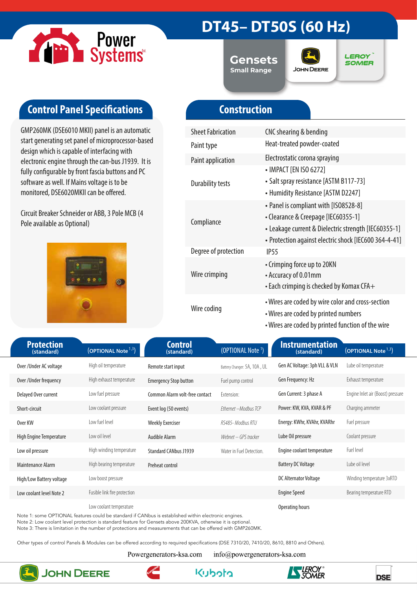

### **DT45– DT50S (60 Hz)**

**Gensets Small Range**



**LEROY SOMER** 

### **Control Panel Specifications**

GMP260MK (DSE6010 MKII) panel is an automatic start generating set panel of microprocessor-based design which is capable of interfacing with electronic engine through the can-bus J1939. It is fully configurable by front fascia buttons and PC software as well. If Mains voltage is to be monitored, DSE6020MKII can be offered.

Circuit Breaker Schneider or ABB, 3 Pole MCB (4 Pole available as Optional)



### **Construction**

| <b>Sheet Fabrication</b> | CNC shearing & bending                                                                                                                                                                        |
|--------------------------|-----------------------------------------------------------------------------------------------------------------------------------------------------------------------------------------------|
| Paint type               | Heat-treated powder-coated                                                                                                                                                                    |
| <b>Paint application</b> | Electrostatic corona spraying                                                                                                                                                                 |
| <b>Durability tests</b>  | • IMPACT [EN ISO 6272]<br>• Salt spray resistance [ASTM B117-73]<br>• Humidity Resistance [ASTM D2247]                                                                                        |
| Compliance               | • Panel is compliant with [ISO8528-8]<br>• Clearance & Creepage [IEC60355-1]<br>• Leakage current & Dielectric strength [IEC60355-1]<br>• Protection against electric shock [IEC600 364-4-41] |
| Degree of protection     | IP <sub>55</sub>                                                                                                                                                                              |
| Wire crimping            | • Crimping force up to 20KN<br>• Accuracy of 0.01mm<br>$\cdot$ Each crimping is checked by Komax CFA $+$                                                                                      |
| Wire coding              | • Wires are coded by wire color and cross-section<br>• Wires are coded by printed numbers<br>• Wires are coded by printed function of the wire                                                |

| <b>Protection</b>        |                                       |                                |                               | <b>Instrumentation</b>        |                                   |
|--------------------------|---------------------------------------|--------------------------------|-------------------------------|-------------------------------|-----------------------------------|
| (standard)               | $\sqrt{\text{(OPTIONAL Note}^{1,3})}$ | <b>Control</b><br>(standard)   | (OPTIONAL Note <sup>1</sup> ) | (standard)                    | (OPTIONAL Note <sup>1,3</sup> )   |
| Over/Under AC voltage    | High oil temperature                  | Remote start input             | Battery Changer: 5A, 10A, UL  | Gen AC Voltage: 3ph VLL & VLN | Lube oil temperature              |
| Over / Under frequency   | High exhaust temperature              | <b>Emergency Stop button</b>   | Fuel pump control             | Gen Frequency: Hz             | Exhaust temperature               |
| Delayed Over current     | Low fuel pressure                     | Common Alarm volt-free contact | Extension:                    | Gen Current: 3 phase A        | Engine Inlet air (Boost) pressure |
| Short-circuit            | Low coolant pressure                  | Event log (50 events)          | Ethernet - Modbus TCP         | Power: KW, KVA, KVAR & PF     | Charging ammeter                  |
| Over KW                  | Low fuel level                        | <b>Weekly Exerciser</b>        | RS485-Modbus RTU              | Energy: KWhr, KVAhr, KVARhr   | Fuel pressure                     |
| High Engine Temperature  | Low oil level                         | <b>Audible Alarm</b>           | Webnet – GPS tracker          | Lube Oil pressure             | Coolant pressure                  |
| Low oil pressure         | High winding temperature              | <b>Standard CANbus J1939</b>   | Water in Fuel Detection.      | Engine coolant temperature    | Fuel level                        |
| Maintenance Alarm        | High bearing temperature              | Preheat control                |                               | <b>Battery DC Voltage</b>     | Lube oil level                    |
| High/Low Battery voltage | Low boost pressure                    |                                |                               | DC Alternator Voltage         | Winding temperature 3xRTD         |
| Low coolant level Note 2 | Fusible link fire protection          |                                |                               | <b>Engine Speed</b>           | Bearing temperature RTD           |
|                          | Low coolant temperature               |                                |                               | Operating hours               |                                   |

Note 1: some OPTIONAL features could be standard if CANbus is established within electronic engines.

Note 2: Low coolant level protection is standard feature for Gensets above 200KVA, otherwise it is optional.

Note 3: There is limitation in the number of protections and measurements that can be offered with GMP260MK.

Other types of control Panels & Modules can be offered according to required specifications (DSE 7310/20, 7410/20, 8610, 8810 and Others).

Powergenerators-ksa.com

info@powergenerators-ksa.com



### **JOHN DEERE**